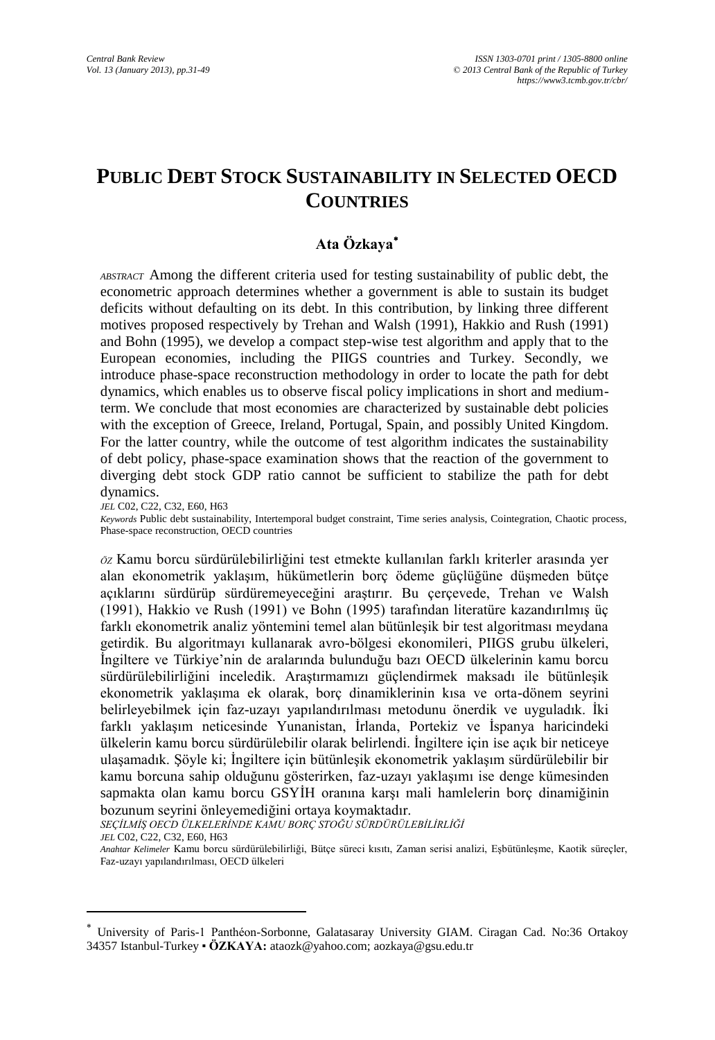# **PUBLIC DEBT STOCK SUSTAINABILITY IN SELECTED OECD COUNTRIES**

## **Ata Özkaya**

*ABSTRACT* Among the different criteria used for testing sustainability of public debt, the econometric approach determines whether a government is able to sustain its budget deficits without defaulting on its debt. In this contribution, by linking three different motives proposed respectively by Trehan and Walsh (1991), Hakkio and Rush (1991) and Bohn (1995), we develop a compact step-wise test algorithm and apply that to the European economies, including the PIIGS countries and Turkey. Secondly, we introduce phase-space reconstruction methodology in order to locate the path for debt dynamics, which enables us to observe fiscal policy implications in short and mediumterm. We conclude that most economies are characterized by sustainable debt policies with the exception of Greece, Ireland, Portugal, Spain, and possibly United Kingdom. For the latter country, while the outcome of test algorithm indicates the sustainability of debt policy, phase-space examination shows that the reaction of the government to diverging debt stock GDP ratio cannot be sufficient to stabilize the path for debt dynamics.

*JEL* C02, C22, C32, E60, H63

 $\overline{a}$ 

*Keywords* Public debt sustainability, Intertemporal budget constraint, Time series analysis, Cointegration, Chaotic process, Phase-space reconstruction, OECD countries

*ÖZ* Kamu borcu sürdürülebilirliğini test etmekte kullanılan farklı kriterler arasında yer alan ekonometrik yaklaşım, hükümetlerin borç ödeme güçlüğüne düşmeden bütçe açıklarını sürdürüp sürdüremeyeceğini araştırır. Bu çerçevede, Trehan ve Walsh (1991), Hakkio ve Rush (1991) ve Bohn (1995) tarafından literatüre kazandırılmış üç farklı ekonometrik analiz yöntemini temel alan bütünleşik bir test algoritması meydana getirdik. Bu algoritmayı kullanarak avro-bölgesi ekonomileri, PIIGS grubu ülkeleri, İngiltere ve Türkiye'nin de aralarında bulunduğu bazı OECD ülkelerinin kamu borcu sürdürülebilirliğini inceledik. Araştırmamızı güçlendirmek maksadı ile bütünleşik ekonometrik yaklaşıma ek olarak, borç dinamiklerinin kısa ve orta-dönem seyrini belirleyebilmek için faz-uzayı yapılandırılması metodunu önerdik ve uyguladık. İki farklı yaklaşım neticesinde Yunanistan, İrlanda, Portekiz ve İspanya haricindeki ülkelerin kamu borcu sürdürülebilir olarak belirlendi. İngiltere için ise açık bir neticeye ulaşamadık. Şöyle ki; İngiltere için bütünleşik ekonometrik yaklaşım sürdürülebilir bir kamu borcuna sahip olduğunu gösterirken, faz-uzayı yaklaşımı ise denge kümesinden sapmakta olan kamu borcu GSYİH oranına karşı mali hamlelerin borç dinamiğinin bozunum seyrini önleyemediğini ortaya koymaktadır.

*SEÇİLMİŞ OECD ÜLKELERİNDE KAMU BORÇ STOĞU SÜRDÜRÜLEBİLİRLİĞİ JEL* C02, C22, C32, E60, H63

*Anahtar Kelimeler* Kamu borcu sürdürülebilirliği, Bütçe süreci kısıtı, Zaman serisi analizi, Eşbütünleşme, Kaotik süreçler, Faz-uzayı yapılandırılması, OECD ülkeleri

University of Paris-1 Panthéon-Sorbonne, Galatasaray University GIAM. Ciragan Cad. No:36 Ortakoy 34357 Istanbul-Turkey ▪ **ÖZKAYA:** ataozk@yahoo.com[; aozkaya@gsu.edu.tr](mailto:aozkaya@gsu.edu.tr)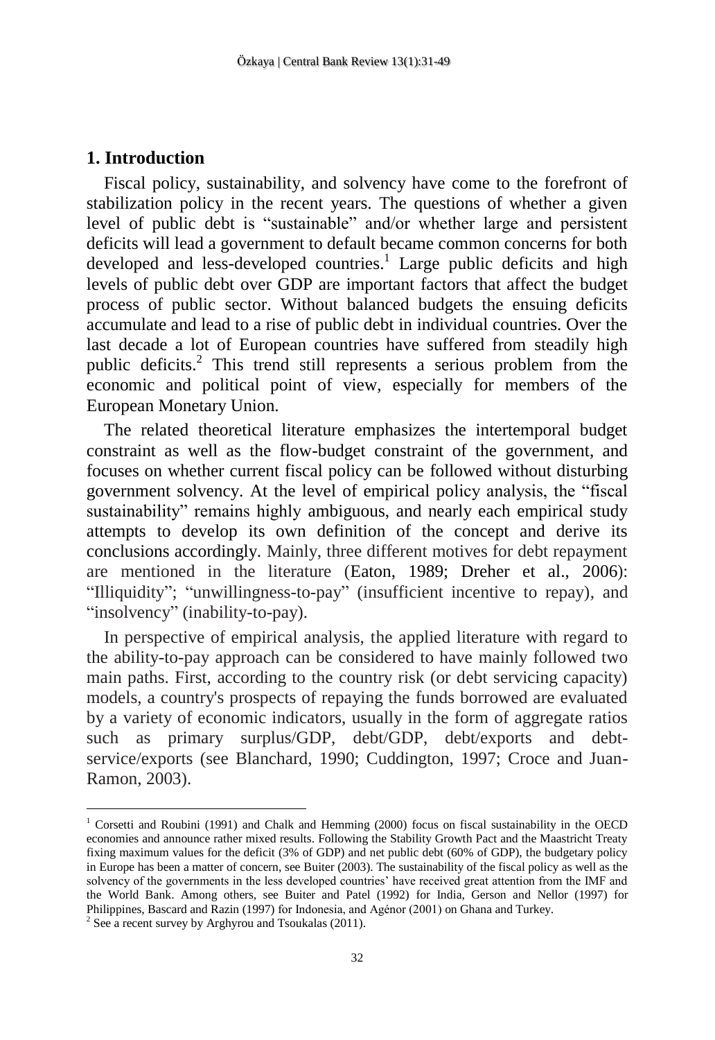#### **1. Introduction**

Fiscal policy, sustainability, and solvency have come to the forefront of stabilization policy in the recent years. The questions of whether a given level of public debt is "sustainable" and/or whether large and persistent deficits will lead a government to default became common concerns for both developed and less-developed countries.<sup>1</sup> Large public deficits and high levels of public debt over GDP are important factors that affect the budget process of public sector. Without balanced budgets the ensuing deficits accumulate and lead to a rise of public debt in individual countries. Over the last decade a lot of European countries have suffered from steadily high public deficits. <sup>2</sup> This trend still represents a serious problem from the economic and political point of view, especially for members of the European Monetary Union.

The related theoretical literature emphasizes the intertemporal budget constraint as well as the flow-budget constraint of the government, and focuses on whether current fiscal policy can be followed without disturbing government solvency. At the level of empirical policy analysis, the "fiscal sustainability" remains highly ambiguous, and nearly each empirical study attempts to develop its own definition of the concept and derive its conclusions accordingly. Mainly, three different motives for debt repayment are mentioned in the literature (Eaton, 1989; Dreher et al., 2006): "Illiquidity"; "unwillingness-to-pay" (insufficient incentive to repay), and "insolvency" (inability-to-pay).

In perspective of empirical analysis, the applied literature with regard to the ability-to-pay approach can be considered to have mainly followed two main paths. First, according to the country risk (or debt servicing capacity) models, a country's prospects of repaying the funds borrowed are evaluated by a variety of economic indicators, usually in the form of aggregate ratios such as primary surplus/GDP, debt/GDP, debt/exports and debtservice/exports (see Blanchard, 1990; Cuddington, 1997; Croce and Juan-Ramon, 2003).

<sup>1</sup> Corsetti and Roubini (1991) and Chalk and Hemming (2000) focus on fiscal sustainability in the OECD economies and announce rather mixed results. Following the Stability Growth Pact and the Maastricht Treaty fixing maximum values for the deficit (3% of GDP) and net public debt (60% of GDP), the budgetary policy in Europe has been a matter of concern, see Buiter (2003). The sustainability of the fiscal policy as well as the solvency of the governments in the less developed countries' have received great attention from the IMF and the World Bank. Among others, see Buiter and Patel (1992) for India, Gerson and Nellor (1997) for Philippines, Bascard and Razin (1997) for Indonesia, and Agénor (2001) on Ghana and Turkey.

 $2$  See a recent survey by Arghyrou and Tsoukalas (2011).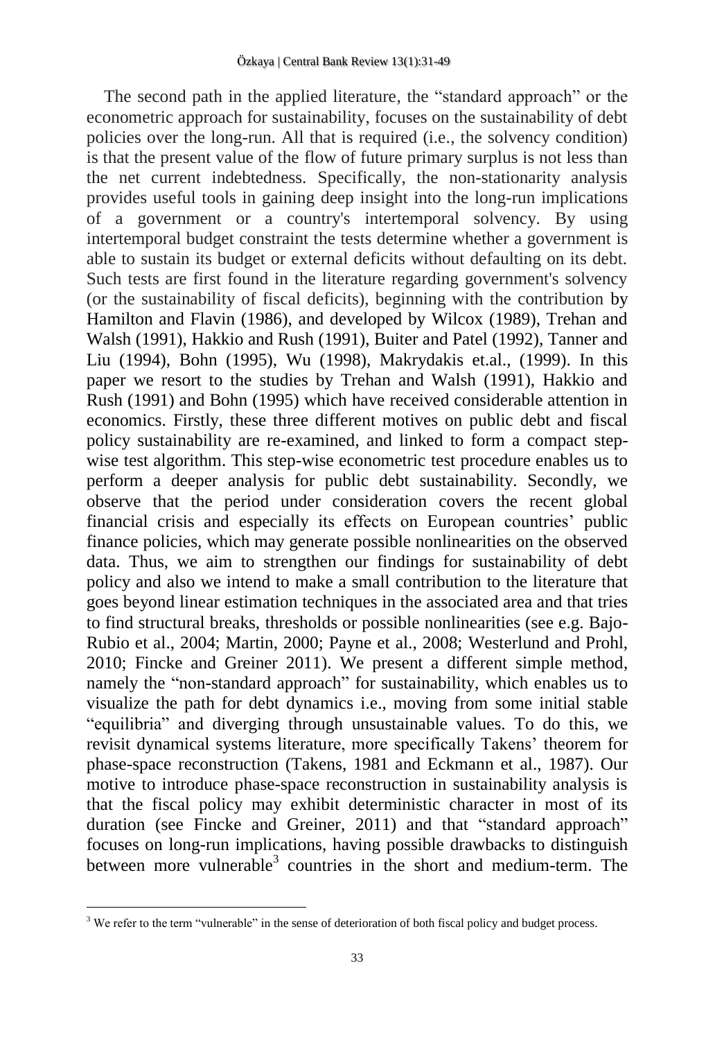The second path in the applied literature, the "standard approach" or the econometric approach for sustainability, focuses on the sustainability of debt policies over the long-run. All that is required (i.e., the solvency condition) is that the present value of the flow of future primary surplus is not less than the net current indebtedness. Specifically, the non-stationarity analysis provides useful tools in gaining deep insight into the long-run implications of a government or a country's intertemporal solvency. By using intertemporal budget constraint the tests determine whether a government is able to sustain its budget or external deficits without defaulting on its debt. Such tests are first found in the literature regarding government's solvency (or the sustainability of fiscal deficits), beginning with the contribution by Hamilton and Flavin (1986), and developed by Wilcox (1989), Trehan and Walsh (1991), Hakkio and Rush (1991), Buiter and Patel (1992), Tanner and Liu (1994), Bohn (1995), Wu (1998), Makrydakis et.al., (1999). In this paper we resort to the studies by Trehan and Walsh (1991), Hakkio and Rush (1991) and Bohn (1995) which have received considerable attention in economics. Firstly, these three different motives on public debt and fiscal policy sustainability are re-examined, and linked to form a compact stepwise test algorithm. This step-wise econometric test procedure enables us to perform a deeper analysis for public debt sustainability. Secondly, we observe that the period under consideration covers the recent global financial crisis and especially its effects on European countries' public finance policies, which may generate possible nonlinearities on the observed data. Thus, we aim to strengthen our findings for sustainability of debt policy and also we intend to make a small contribution to the literature that goes beyond linear estimation techniques in the associated area and that tries to find structural breaks, thresholds or possible nonlinearities (see e.g. Bajo-Rubio et al., 2004; Martin, 2000; Payne et al., 2008; Westerlund and Prohl, 2010; Fincke and Greiner 2011). We present a different simple method, namely the "non-standard approach" for sustainability, which enables us to visualize the path for debt dynamics i.e., moving from some initial stable "equilibria" and diverging through unsustainable values. To do this, we revisit dynamical systems literature, more specifically Takens' theorem for phase-space reconstruction (Takens, 1981 and Eckmann et al., 1987). Our motive to introduce phase-space reconstruction in sustainability analysis is that the fiscal policy may exhibit deterministic character in most of its duration (see Fincke and Greiner, 2011) and that "standard approach" focuses on long-run implications, having possible drawbacks to distinguish between more vulnerable<sup>3</sup> countries in the short and medium-term. The

<sup>&</sup>lt;sup>3</sup> We refer to the term "vulnerable" in the sense of deterioration of both fiscal policy and budget process.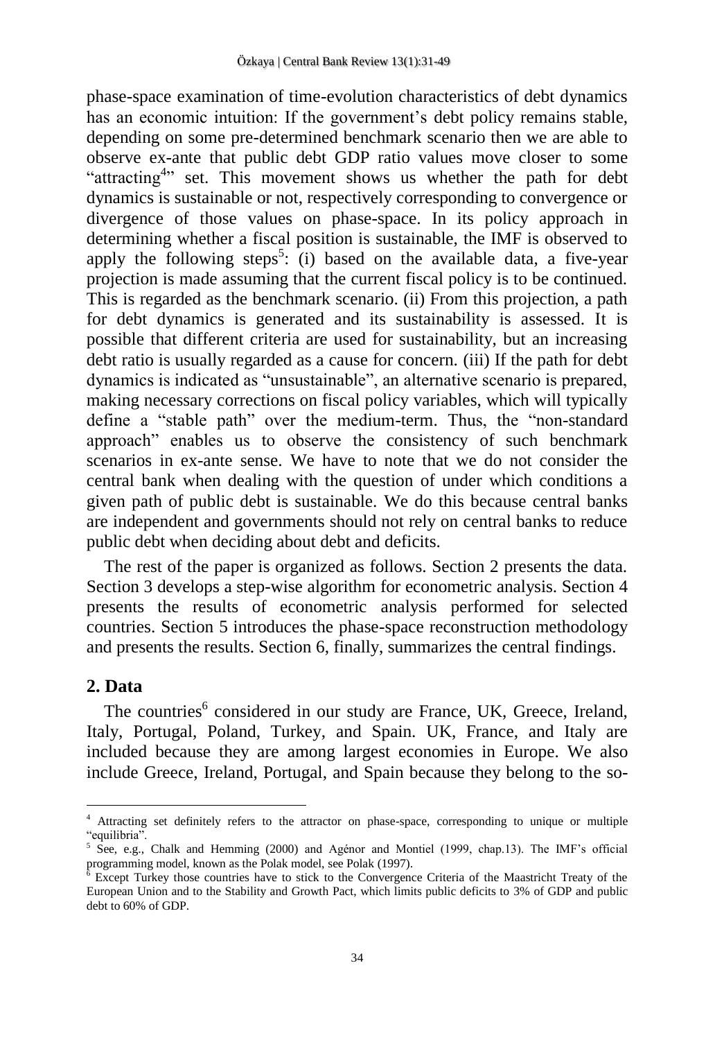phase-space examination of time-evolution characteristics of debt dynamics has an economic intuition: If the government's debt policy remains stable, depending on some pre-determined benchmark scenario then we are able to observe ex-ante that public debt GDP ratio values move closer to some "attracting<sup>4</sup>" set. This movement shows us whether the path for debt dynamics is sustainable or not, respectively corresponding to convergence or divergence of those values on phase-space. In its policy approach in determining whether a fiscal position is sustainable, the IMF is observed to apply the following steps<sup>5</sup>: (i) based on the available data, a five-year projection is made assuming that the current fiscal policy is to be continued. This is regarded as the benchmark scenario. (ii) From this projection, a path for debt dynamics is generated and its sustainability is assessed. It is possible that different criteria are used for sustainability, but an increasing debt ratio is usually regarded as a cause for concern. (iii) If the path for debt dynamics is indicated as "unsustainable", an alternative scenario is prepared, making necessary corrections on fiscal policy variables, which will typically define a "stable path" over the medium-term. Thus, the "non-standard approach" enables us to observe the consistency of such benchmark scenarios in ex-ante sense. We have to note that we do not consider the central bank when dealing with the question of under which conditions a given path of public debt is sustainable. We do this because central banks are independent and governments should not rely on central banks to reduce public debt when deciding about debt and deficits.

The rest of the paper is organized as follows. Section 2 presents the data. Section 3 develops a step-wise algorithm for econometric analysis. Section 4 presents the results of econometric analysis performed for selected countries. Section 5 introduces the phase-space reconstruction methodology and presents the results. Section 6, finally, summarizes the central findings.

### **2. Data**

 $\overline{a}$ 

The countries<sup>6</sup> considered in our study are France, UK, Greece, Ireland, Italy, Portugal, Poland, Turkey, and Spain. UK, France, and Italy are included because they are among largest economies in Europe. We also include Greece, Ireland, Portugal, and Spain because they belong to the so-

<sup>4</sup> Attracting set definitely refers to the attractor on phase-space, corresponding to unique or multiple "equilibria".

<sup>5</sup> See, e.g., Chalk and Hemming (2000) and Agénor and Montiel (1999, chap.13). The IMF's official programming model, known as the Polak model, see Polak (1997).

<sup>6</sup> Except Turkey those countries have to stick to the Convergence Criteria of the Maastricht Treaty of the European Union and to the Stability and Growth Pact, which limits public deficits to 3% of GDP and public debt to 60% of GDP.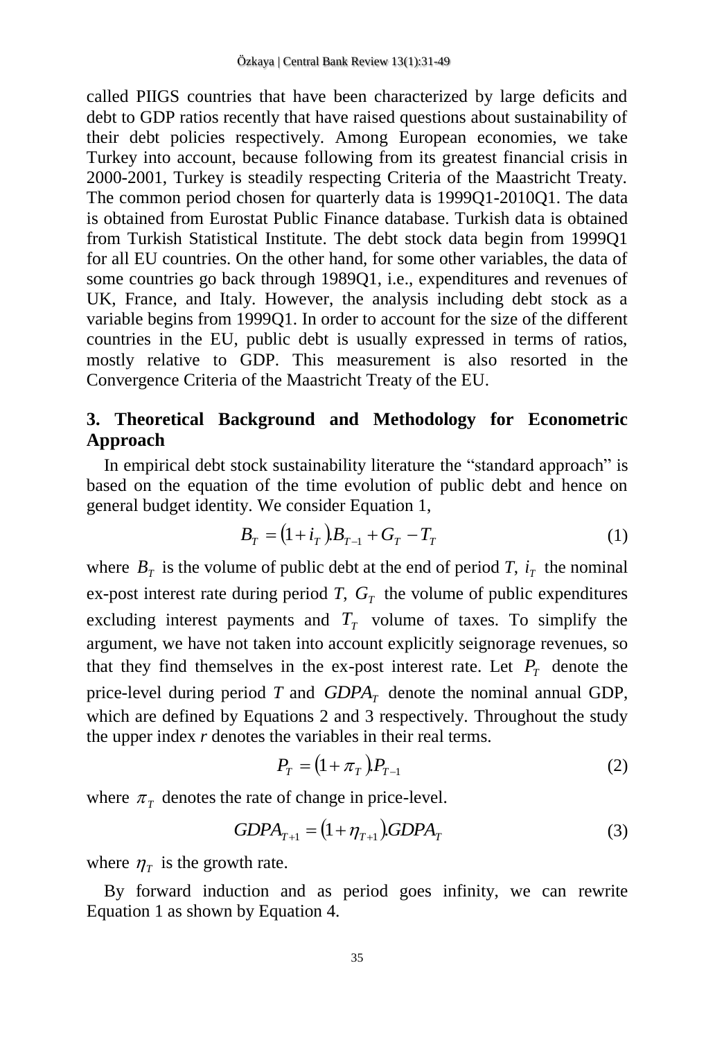called PIIGS countries that have been characterized by large deficits and debt to GDP ratios recently that have raised questions about sustainability of their debt policies respectively. Among European economies, we take Turkey into account, because following from its greatest financial crisis in 2000-2001, Turkey is steadily respecting Criteria of the Maastricht Treaty. The common period chosen for quarterly data is 1999Q1-2010Q1. The data is obtained from Eurostat Public Finance database. Turkish data is obtained from Turkish Statistical Institute. The debt stock data begin from 1999Q1 for all EU countries. On the other hand, for some other variables, the data of some countries go back through 1989Q1, i.e., expenditures and revenues of UK, France, and Italy. However, the analysis including debt stock as a variable begins from 1999Q1. In order to account for the size of the different countries in the EU, public debt is usually expressed in terms of ratios, mostly relative to GDP. This measurement is also resorted in the Convergence Criteria of the Maastricht Treaty of the EU.

## **3. Theoretical Background and Methodology for Econometric Approach**

In empirical debt stock sustainability literature the "standard approach" is based on the equation of the time evolution of public debt and hence on general budget identity. We consider Equation 1,

$$
B_T = (1 + i_T)B_{T-1} + G_T - T_T \tag{1}
$$

where  $B_T$  is the volume of public debt at the end of period *T*,  $i_T$  the nominal ex-post interest rate during period  $T$ ,  $G_T$  the volume of public expenditures excluding interest payments and  $T<sub>T</sub>$  volume of taxes. To simplify the argument, we have not taken into account explicitly seignorage revenues, so that they find themselves in the ex-post interest rate. Let  $P_T$  denote the price-level during period  $T$  and  $GDPA_T$  denote the nominal annual GDP, which are defined by Equations 2 and 3 respectively. Throughout the study the upper index *r* denotes the variables in their real terms.

$$
P_T = (1 + \pi_T) P_{T-1}
$$
 (2)

where  $\pi<sub>T</sub>$  denotes the rate of change in price-level.

$$
GDPA_{T+1} = (1 + \eta_{T+1})GDPA_T \tag{3}
$$

where  $\eta_{\tau}$  is the growth rate.

By forward induction and as period goes infinity, we can rewrite Equation 1 as shown by Equation 4.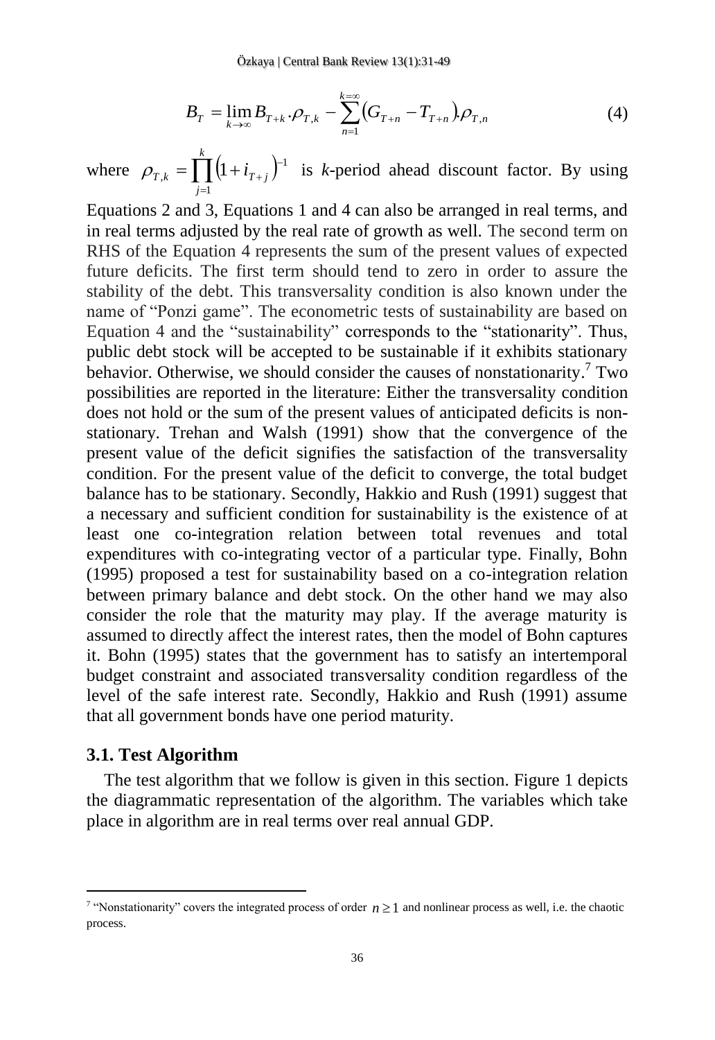$$
B_T = \lim_{k \to \infty} B_{T+k} \cdot \rho_{T,k} - \sum_{n=1}^{k=\infty} \left( G_{T+n} - T_{T+n} \right) \rho_{T,n} \tag{4}
$$

where  $\rho_{T,k} = \prod (1 + i_{T+j})^{-1}$ = *k j*  $\rho_{T,k} = \prod (1 + i_{T+j})^{-1}$  is *k*-period ahead discount factor. By using 1

 $\sum_{n=1}^{n=1} (G_{T+n} - T_{T+n})$ .<br>
beriod ahead dis<br>
4 can also be arrate of growth as w<br>
he sum of the preadity condition is<br>
netric tests of sus<br>
contresponds to to be sustainable<br>
sider the causes cature: Either the<br>
sent va Equations 2 and 3, Equations 1 and 4 can also be arranged in real terms, and in real terms adjusted by the real rate of growth as well. The second term on RHS of the Equation 4 represents the sum of the present values of expected future deficits. The first term should tend to zero in order to assure the stability of the debt. This transversality condition is also known under the name of "Ponzi game". The econometric tests of sustainability are based on Equation 4 and the "sustainability" corresponds to the "stationarity". Thus, public debt stock will be accepted to be sustainable if it exhibits stationary behavior. Otherwise, we should consider the causes of nonstationarity.<sup>7</sup> Two possibilities are reported in the literature: Either the transversality condition does not hold or the sum of the present values of anticipated deficits is nonstationary. Trehan and Walsh (1991) show that the convergence of the present value of the deficit signifies the satisfaction of the transversality condition. For the present value of the deficit to converge, the total budget balance has to be stationary. Secondly, Hakkio and Rush (1991) suggest that a necessary and sufficient condition for sustainability is the existence of at least one co-integration relation between total revenues and total expenditures with co-integrating vector of a particular type. Finally, Bohn (1995) proposed a test for sustainability based on a co-integration relation between primary balance and debt stock. On the other hand we may also consider the role that the maturity may play. If the average maturity is assumed to directly affect the interest rates, then the model of Bohn captures it. Bohn (1995) states that the government has to satisfy an intertemporal budget constraint and associated transversality condition regardless of the level of the safe interest rate. Secondly, Hakkio and Rush (1991) assume that all government bonds have one period maturity.

#### **3.1. Test Algorithm**

 $\overline{a}$ 

The test algorithm that we follow is given in this section. Figure 1 depicts the diagrammatic representation of the algorithm. The variables which take place in algorithm are in real terms over real annual GDP.

<sup>&</sup>lt;sup>7</sup> "Nonstationarity" covers the integrated process of order  $n \ge 1$  and nonlinear process as well, i.e. the chaotic process.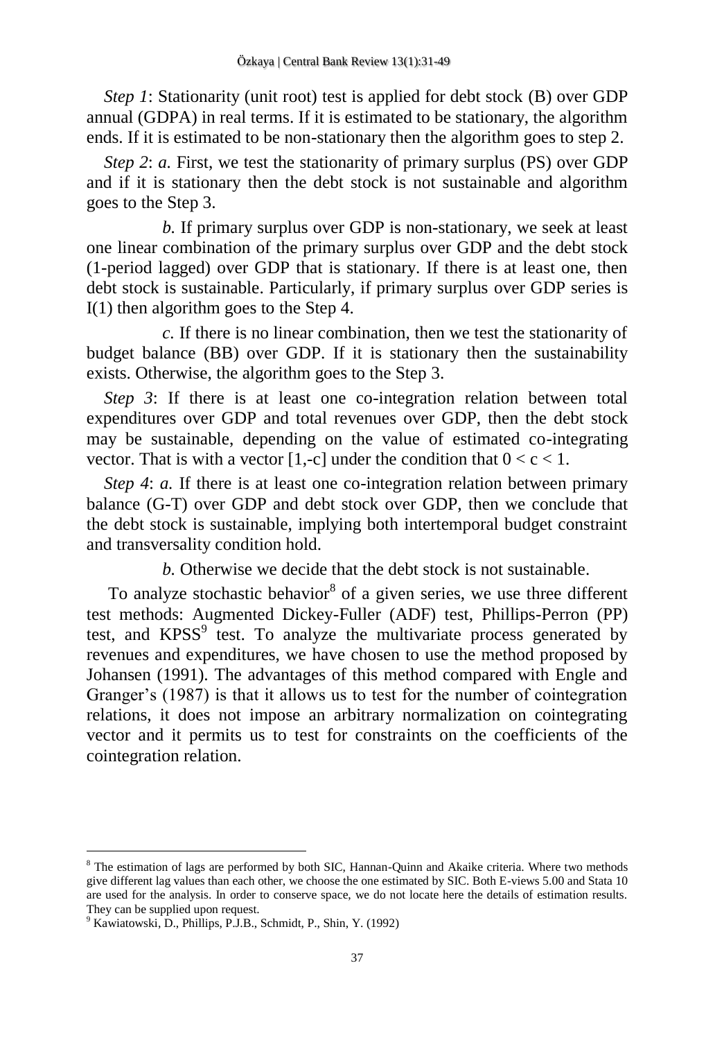*Step 1*: Stationarity (unit root) test is applied for debt stock (B) over GDP annual (GDPA) in real terms. If it is estimated to be stationary, the algorithm ends. If it is estimated to be non-stationary then the algorithm goes to step 2.

*Step 2: a.* First, we test the stationarity of primary surplus (PS) over GDP and if it is stationary then the debt stock is not sustainable and algorithm goes to the Step 3.

*b.* If primary surplus over GDP is non-stationary, we seek at least one linear combination of the primary surplus over GDP and the debt stock (1-period lagged) over GDP that is stationary. If there is at least one, then debt stock is sustainable. Particularly, if primary surplus over GDP series is I(1) then algorithm goes to the Step 4.

*c.* If there is no linear combination, then we test the stationarity of budget balance (BB) over GDP. If it is stationary then the sustainability exists. Otherwise, the algorithm goes to the Step 3.

*Step 3*: If there is at least one co-integration relation between total expenditures over GDP and total revenues over GDP, then the debt stock may be sustainable, depending on the value of estimated co-integrating vector. That is with a vector [1,-c] under the condition that  $0 < c < 1$ .

*Step 4: a.* If there is at least one co-integration relation between primary balance (G-T) over GDP and debt stock over GDP, then we conclude that the debt stock is sustainable, implying both intertemporal budget constraint and transversality condition hold.

*b.* Otherwise we decide that the debt stock is not sustainable.

To analyze stochastic behavior<sup>8</sup> of a given series, we use three different test methods: Augmented Dickey-Fuller (ADF) test, Phillips-Perron (PP) test, and KPSS<sup>9</sup> test. To analyze the multivariate process generated by revenues and expenditures, we have chosen to use the method proposed by Johansen (1991). The advantages of this method compared with Engle and Granger's (1987) is that it allows us to test for the number of cointegration relations, it does not impose an arbitrary normalization on cointegrating vector and it permits us to test for constraints on the coefficients of the cointegration relation.

<sup>&</sup>lt;sup>8</sup> The estimation of lags are performed by both SIC, Hannan-Quinn and Akaike criteria. Where two methods give different lag values than each other, we choose the one estimated by SIC. Both E-views 5.00 and Stata 10 are used for the analysis. In order to conserve space, we do not locate here the details of estimation results. They can be supplied upon request.

<sup>9</sup> Kawiatowski, D., Phillips, P.J.B., Schmidt, P., Shin, Y. (1992)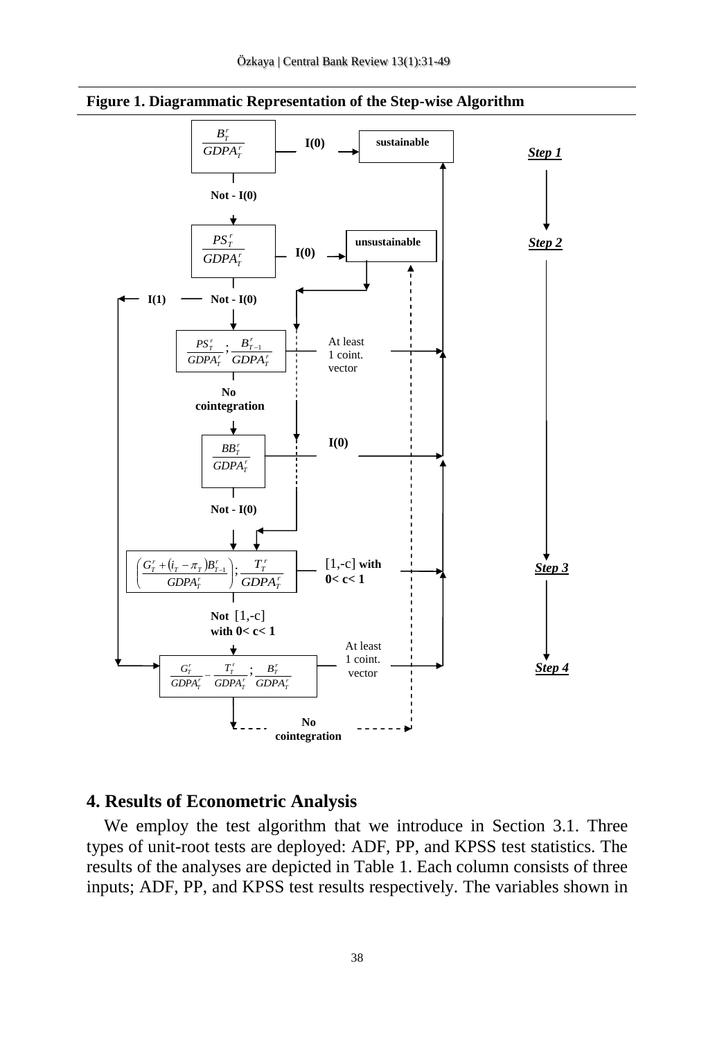

**Figure 1. Diagrammatic Representation of the Step-wise Algorithm**

#### **4. Results of Econometric Analysis**

We employ the test algorithm that we introduce in Section 3.1. Three types of unit-root tests are deployed: ADF, PP, and KPSS test statistics. The results of the analyses are depicted in Table 1. Each column consists of three inputs; ADF, PP, and KPSS test results respectively. The variables shown in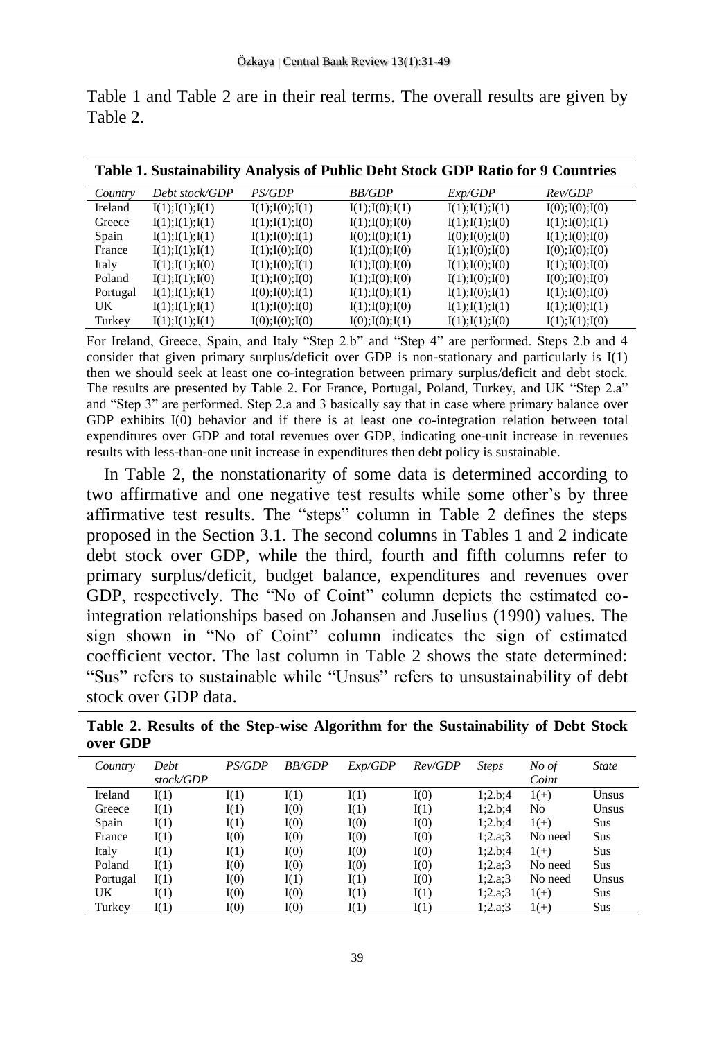| Table 2. |  |  |  |
|----------|--|--|--|
|          |  |  |  |
|          |  |  |  |

Table 1 and Table 2 are in their real terms. The overall results are given by

| Table 1. Sustainability Analysis of Public Debt Stock GDP Ratio for 9 Countries |                  |                  |                  |                  |                  |  |
|---------------------------------------------------------------------------------|------------------|------------------|------------------|------------------|------------------|--|
| Country                                                                         | Debt stock/GDP   | <i>PS/GDP</i>    | <i>BB/GDP</i>    | Exp/GDP          | Rev/GDP          |  |
| Ireland                                                                         | I(1); I(1); I(1) | I(1); I(0); I(1) | I(1); I(0); I(1) | I(1); I(1); I(1) | I(0); I(0); I(0) |  |
| Greece                                                                          | I(1); I(1); I(1) | I(1); I(1); I(0) | I(1); I(0); I(0) | I(1); I(1); I(0) | I(1); I(0); I(1) |  |
| Spain                                                                           | I(1); I(1); I(1) | I(1); I(0); I(1) | I(0); I(0); I(1) | I(0); I(0); I(0) | I(1); I(0); I(0) |  |
| France                                                                          | I(1); I(1); I(1) | I(1); I(0); I(0) | I(1); I(0); I(0) | I(1); I(0); I(0) | I(0); I(0); I(0) |  |
| Italy                                                                           | I(1); I(1); I(0) | I(1); I(0); I(1) | I(1); I(0); I(0) | I(1); I(0); I(0) | I(1); I(0); I(0) |  |
| Poland                                                                          | I(1); I(1); I(0) | I(1); I(0); I(0) | I(1); I(0); I(0) | I(1); I(0); I(0) | I(0); I(0); I(0) |  |
| Portugal                                                                        | I(1); I(1); I(1) | I(0); I(0); I(1) | I(1); I(0); I(1) | I(1); I(0); I(1) | I(1); I(0); I(0) |  |
| UK                                                                              | I(1); I(1); I(1) | I(1); I(0); I(0) | I(1); I(0); I(0) | I(1); I(1); I(1) | I(1); I(0); I(1) |  |
| Turkey                                                                          | I(1); I(1); I(1) | I(0); I(0); I(0) | I(0); I(0); I(1) | I(1); I(1); I(0) | I(1); I(1); I(0) |  |

For Ireland, Greece, Spain, and Italy "Step 2.b" and "Step 4" are performed. Steps 2.b and 4 consider that given primary surplus/deficit over GDP is non-stationary and particularly is I(1) then we should seek at least one co-integration between primary surplus/deficit and debt stock. The results are presented by Table 2. For France, Portugal, Poland, Turkey, and UK "Step 2.a" and "Step 3" are performed. Step 2.a and 3 basically say that in case where primary balance over GDP exhibits I(0) behavior and if there is at least one co-integration relation between total expenditures over GDP and total revenues over GDP, indicating one-unit increase in revenues results with less-than-one unit increase in expenditures then debt policy is sustainable.

In Table 2, the nonstationarity of some data is determined according to two affirmative and one negative test results while some other's by three affirmative test results. The "steps" column in Table 2 defines the steps proposed in the Section 3.1. The second columns in Tables 1 and 2 indicate debt stock over GDP, while the third, fourth and fifth columns refer to primary surplus/deficit, budget balance, expenditures and revenues over GDP, respectively. The "No of Coint" column depicts the estimated cointegration relationships based on Johansen and Juselius (1990) values. The sign shown in "No of Coint" column indicates the sign of estimated coefficient vector. The last column in Table 2 shows the state determined: "Sus" refers to sustainable while "Unsus" refers to unsustainability of debt stock over GDP data.

| Country  | Debt      | <i>PS/GDP</i> | <b>BB/GDP</b> | Exp/GDP | Rev/GDP | <b>Steps</b> | No of   | <b>State</b> |
|----------|-----------|---------------|---------------|---------|---------|--------------|---------|--------------|
|          | stock/GDP |               |               |         |         |              | Coint   |              |
| Ireland  | I(1)      | I(1)          | I(1)          | I(1)    | I(0)    | 1:2.b:4      | $1(+)$  | Unsus        |
| Greece   | I(1)      | I(1)          | I(0)          | I(1)    | I(1)    | 1:2.b:4      | No      | Unsus        |
| Spain    | I(1)      | I(1)          | I(0)          | I(0)    | I(0)    | 1:2.b:4      | $1(+)$  | Sus          |
| France   | I(1)      | I(0)          | I(0)          | I(0)    | I(0)    | 1:2.a.3      | No need | Sus          |
| Italy    | I(1)      | I(1)          | I(0)          | I(0)    | I(0)    | 1:2.b:4      | $1(+)$  | Sus          |
| Poland   | I(1)      | I(0)          | I(0)          | I(0)    | I(0)    | 1:2.a.3      | No need | Sus          |
| Portugal | I(1)      | I(0)          | I(1)          | I(1)    | I(0)    | 1:2.a.3      | No need | Unsus        |
| UK       | I(1)      | I(0)          | I(0)          | I(1)    | I(1)    | 1:2.a.3      | $1(+)$  | Sus          |
| Turkey   | I(1)      | I(0)          | I(0)          | I(1)    | I(1)    | 1:2.a.3      | $1(+)$  | Sus          |

**Table 2. Results of the Step-wise Algorithm for the Sustainability of Debt Stock over GDP**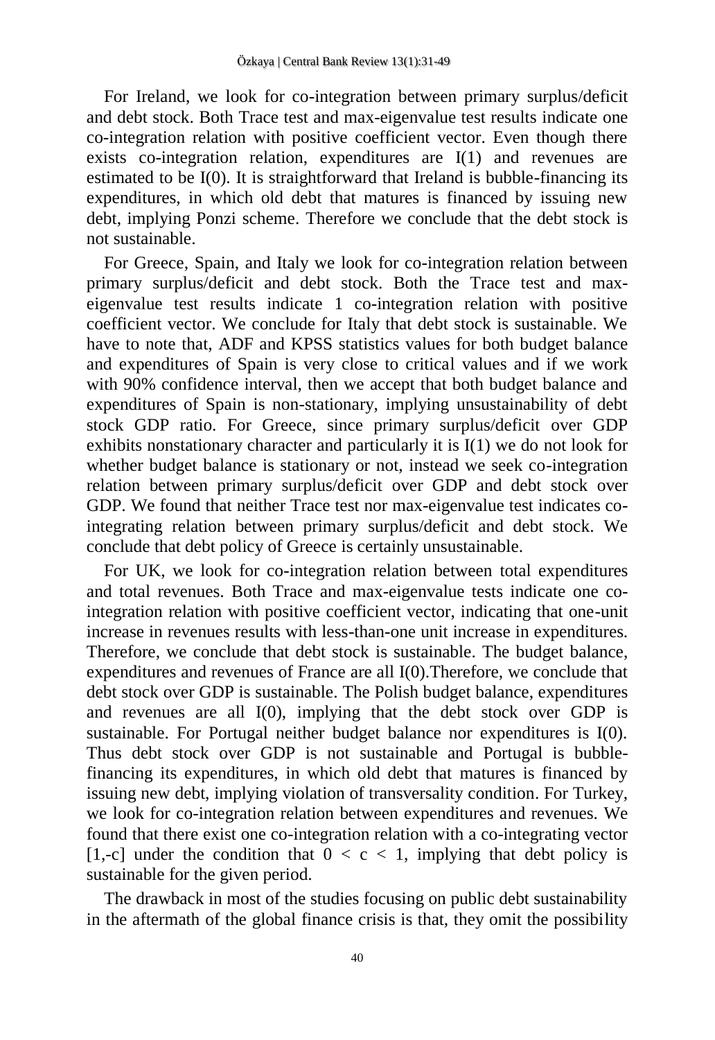For Ireland, we look for co-integration between primary surplus/deficit and debt stock. Both Trace test and max-eigenvalue test results indicate one co-integration relation with positive coefficient vector. Even though there exists co-integration relation, expenditures are I(1) and revenues are estimated to be I(0). It is straightforward that Ireland is bubble-financing its expenditures, in which old debt that matures is financed by issuing new debt, implying Ponzi scheme. Therefore we conclude that the debt stock is not sustainable.

For Greece, Spain, and Italy we look for co-integration relation between primary surplus/deficit and debt stock. Both the Trace test and maxeigenvalue test results indicate 1 co-integration relation with positive coefficient vector. We conclude for Italy that debt stock is sustainable. We have to note that, ADF and KPSS statistics values for both budget balance and expenditures of Spain is very close to critical values and if we work with 90% confidence interval, then we accept that both budget balance and expenditures of Spain is non-stationary, implying unsustainability of debt stock GDP ratio. For Greece, since primary surplus/deficit over GDP exhibits nonstationary character and particularly it is  $I(1)$  we do not look for whether budget balance is stationary or not, instead we seek co-integration relation between primary surplus/deficit over GDP and debt stock over GDP. We found that neither Trace test nor max-eigenvalue test indicates cointegrating relation between primary surplus/deficit and debt stock. We conclude that debt policy of Greece is certainly unsustainable.

For UK, we look for co-integration relation between total expenditures and total revenues. Both Trace and max-eigenvalue tests indicate one cointegration relation with positive coefficient vector, indicating that one-unit increase in revenues results with less-than-one unit increase in expenditures. Therefore, we conclude that debt stock is sustainable. The budget balance, expenditures and revenues of France are all I(0).Therefore, we conclude that debt stock over GDP is sustainable. The Polish budget balance, expenditures and revenues are all  $I(0)$ , implying that the debt stock over GDP is sustainable. For Portugal neither budget balance nor expenditures is I(0). Thus debt stock over GDP is not sustainable and Portugal is bubblefinancing its expenditures, in which old debt that matures is financed by issuing new debt, implying violation of transversality condition. For Turkey, we look for co-integration relation between expenditures and revenues. We found that there exist one co-integration relation with a co-integrating vector [1,-c] under the condition that  $0 < c < 1$ , implying that debt policy is sustainable for the given period.

The drawback in most of the studies focusing on public debt sustainability in the aftermath of the global finance crisis is that, they omit the possibility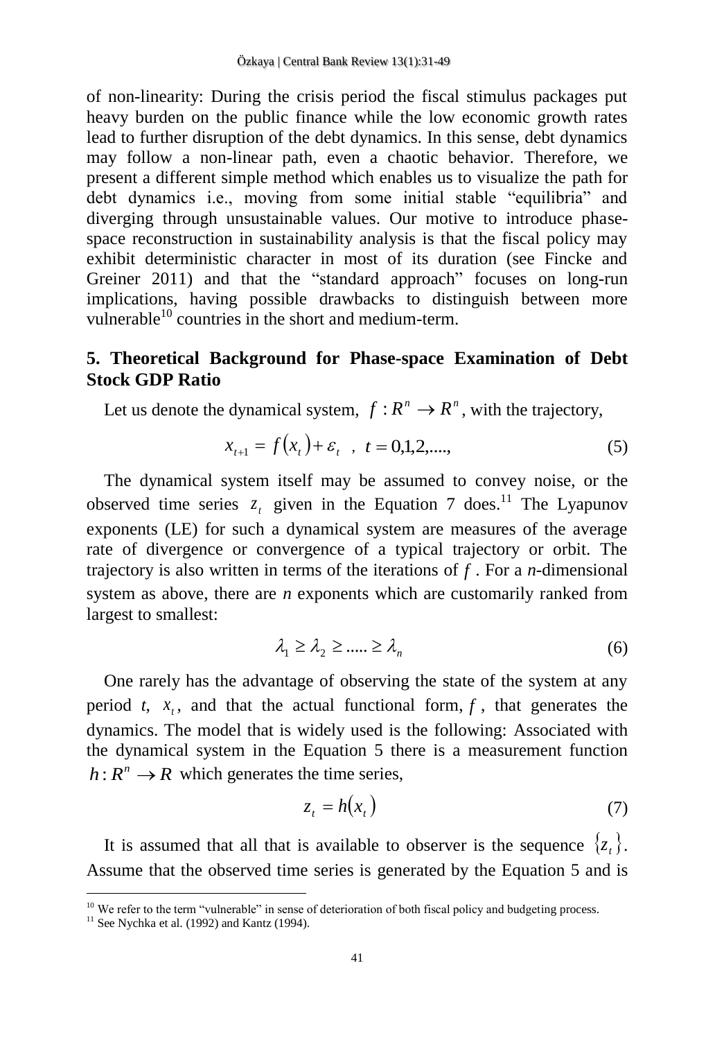of non-linearity: During the crisis period the fiscal stimulus packages put heavy burden on the public finance while the low economic growth rates lead to further disruption of the debt dynamics. In this sense, debt dynamics may follow a non-linear path, even a chaotic behavior. Therefore, we present a different simple method which enables us to visualize the path for debt dynamics i.e., moving from some initial stable "equilibria" and diverging through unsustainable values. Our motive to introduce phasespace reconstruction in sustainability analysis is that the fiscal policy may exhibit deterministic character in most of its duration (see Fincke and Greiner 2011) and that the "standard approach" focuses on long-run implications, having possible drawbacks to distinguish between more vulnerable $^{10}$  countries in the short and medium-term.

## **5. Theoretical Background for Phase-space Examination of Debt Stock GDP Ratio**

Let us denote the dynamical system,  $f: R^n \to R^n$ , with the trajectory,

$$
x_{t+1} = f(x_t) + \varepsilon_t , \quad t = 0, 1, 2, \dots,
$$
 (5)

The dynamical system itself may be assumed to convey noise, or the observed time series  $z_t$  given in the Equation 7 does.<sup>11</sup> The Lyapunov exponents (LE) for such a dynamical system are measures of the average rate of divergence or convergence of a typical trajectory or orbit. The trajectory is also written in terms of the iterations of *f* . For a *n*-dimensional system as above, there are *n* exponents which are customarily ranked from largest to smallest:

$$
\lambda_1 \ge \lambda_2 \ge \dots \ge \lambda_n \tag{6}
$$

One rarely has the advantage of observing the state of the system at any period *t*,  $x_t$ , and that the actual functional form,  $f$ , that generates the dynamics. The model that is widely used is the following: Associated with the dynamical system in the Equation 5 there is a measurement function  $h: R^n \to R$  which generates the time series,

$$
z_t = h(x_t) \tag{7}
$$

It is assumed that all that is available to observer is the sequence  $\{z_t\}$ . Assume that the observed time series is generated by the Equation 5 and is

<sup>&</sup>lt;sup>10</sup> We refer to the term "vulnerable" in sense of deterioration of both fiscal policy and budgeting process.

 $11$  See Nychka et al. (1992) and Kantz (1994).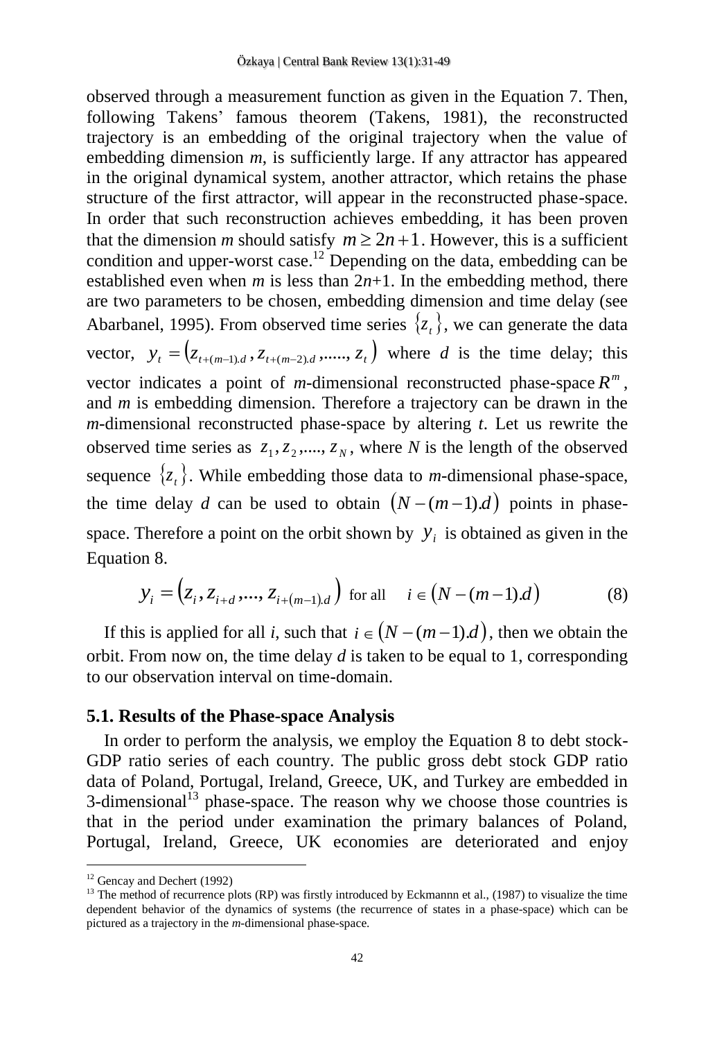observed through a measurement function as given in the Equation 7. Then, following Takens' famous theorem (Takens, 1981), the reconstructed trajectory is an embedding of the original trajectory when the value of embedding dimension *m*, is sufficiently large. If any attractor has appeared in the original dynamical system, another attractor, which retains the phase structure of the first attractor, will appear in the reconstructed phase-space. In order that such reconstruction achieves embedding, it has been proven that the dimension *m* should satisfy  $m \ge 2n + 1$ . However, this is a sufficient condition and upper-worst case.<sup>12</sup> Depending on the data, embedding can be established even when *m* is less than  $2n+1$ . In the embedding method, there are two parameters to be chosen, embedding dimension and time delay (see Abarbanel, 1995). From observed time series  $\{z_t\}$ , we can generate the data vector,  $y_t = (z_{t+(m-1),d}, z_{t+(m-2),d}, \dots, z_t)$  where *d* is the time delay; this vector indicates a point of *m*-dimensional reconstructed phase-space  $R^m$ , and *m* is embedding dimension. Therefore a trajectory can be drawn in the *m*-dimensional reconstructed phase-space by altering *t*. Let us rewrite the observed time series as  $z_1, z_2, ..., z_N$ , where *N* is the length of the observed sequence  $\{z_t\}$ . While embedding those data to *m*-dimensional phase-space, the time delay *d* can be used to obtain  $(N-(m-1)d)$  points in phasespace. Therefore a point on the orbit shown by  $y_i$  is obtained as given in the Equation 8.

$$
y_i = (z_i, z_{i+d}, \dots, z_{i+(m-1)d}) \text{ for all } i \in (N-(m-1)d)
$$
 (8)

If this is applied for all *i*, such that  $i \in (N - (m-1)d)$ , then we obtain the orbit. From now on, the time delay *d* is taken to be equal to 1, corresponding to our observation interval on time-domain.

#### **5.1. Results of the Phase-space Analysis**

In order to perform the analysis, we employ the Equation 8 to debt stock-GDP ratio series of each country. The public gross debt stock GDP ratio data of Poland, Portugal, Ireland, Greece, UK, and Turkey are embedded in  $3$ -dimensional<sup>13</sup> phase-space. The reason why we choose those countries is that in the period under examination the primary balances of Poland, Portugal, Ireland, Greece, UK economies are deteriorated and enjoy

<sup>&</sup>lt;sup>12</sup> Gencay and Dechert (1992)

<sup>&</sup>lt;sup>13</sup> The method of recurrence plots (RP) was firstly introduced by Eckmannn et al., (1987) to visualize the time dependent behavior of the dynamics of systems (the recurrence of states in a phase-space) which can be pictured as a trajectory in the *m*-dimensional phase-space.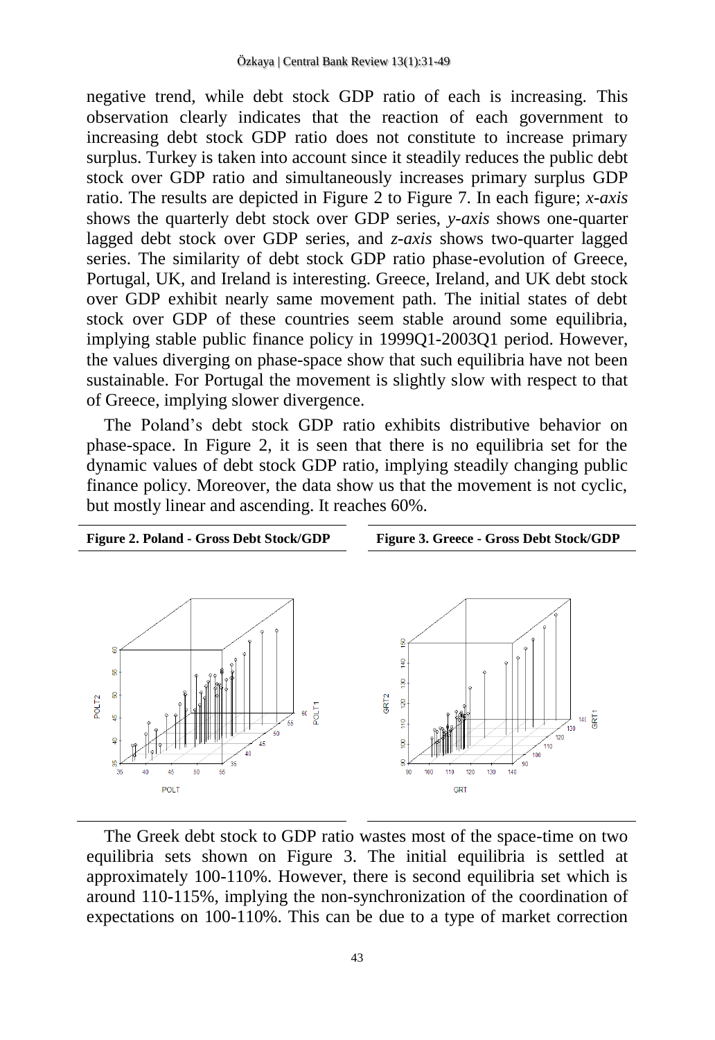negative trend, while debt stock GDP ratio of each is increasing. This observation clearly indicates that the reaction of each government to increasing debt stock GDP ratio does not constitute to increase primary surplus. Turkey is taken into account since it steadily reduces the public debt stock over GDP ratio and simultaneously increases primary surplus GDP ratio. The results are depicted in Figure 2 to Figure 7. In each figure; *x-axis* shows the quarterly debt stock over GDP series, *y-axis* shows one-quarter lagged debt stock over GDP series, and *z-axis* shows two-quarter lagged series. The similarity of debt stock GDP ratio phase-evolution of Greece, Portugal, UK, and Ireland is interesting. Greece, Ireland, and UK debt stock over GDP exhibit nearly same movement path. The initial states of debt stock over GDP of these countries seem stable around some equilibria, implying stable public finance policy in 1999Q1-2003Q1 period. However, the values diverging on phase-space show that such equilibria have not been sustainable. For Portugal the movement is slightly slow with respect to that of Greece, implying slower divergence.

The Poland's debt stock GDP ratio exhibits distributive behavior on phase-space. In Figure 2, it is seen that there is no equilibria set for the dynamic values of debt stock GDP ratio, implying steadily changing public finance policy. Moreover, the data show us that the movement is not cyclic, but mostly linear and ascending. It reaches 60%.



The Greek debt stock to GDP ratio wastes most of the space-time on two equilibria sets shown on Figure 3. The initial equilibria is settled at approximately 100-110%. However, there is second equilibria set which is around 110-115%, implying the non-synchronization of the coordination of expectations on 100-110%. This can be due to a type of market correction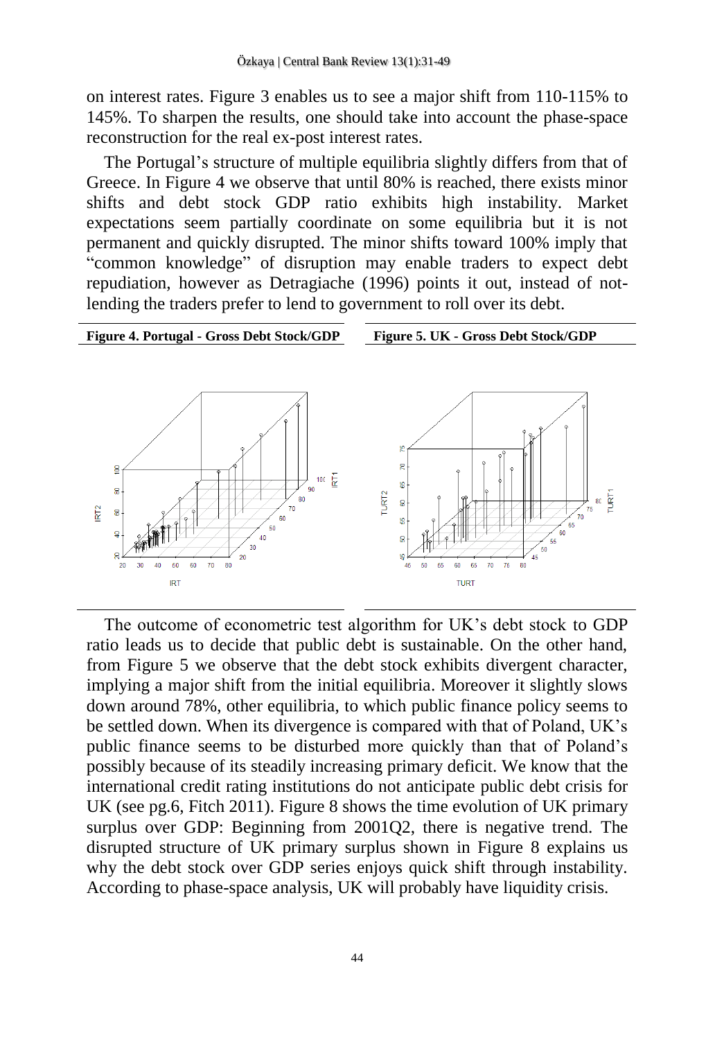on interest rates. Figure 3 enables us to see a major shift from 110-115% to 145%. To sharpen the results, one should take into account the phase-space reconstruction for the real ex-post interest rates.

The Portugal's structure of multiple equilibria slightly differs from that of Greece. In Figure 4 we observe that until 80% is reached, there exists minor shifts and debt stock GDP ratio exhibits high instability. Market expectations seem partially coordinate on some equilibria but it is not permanent and quickly disrupted. The minor shifts toward 100% imply that "common knowledge" of disruption may enable traders to expect debt repudiation, however as Detragiache (1996) points it out, instead of notlending the traders prefer to lend to government to roll over its debt.



The outcome of econometric test algorithm for UK's debt stock to GDP ratio leads us to decide that public debt is sustainable. On the other hand, from Figure 5 we observe that the debt stock exhibits divergent character, implying a major shift from the initial equilibria. Moreover it slightly slows down around 78%, other equilibria, to which public finance policy seems to be settled down. When its divergence is compared with that of Poland, UK's public finance seems to be disturbed more quickly than that of Poland's possibly because of its steadily increasing primary deficit. We know that the international credit rating institutions do not anticipate public debt crisis for UK (see pg.6, Fitch 2011). Figure 8 shows the time evolution of UK primary surplus over GDP: Beginning from 2001Q2, there is negative trend. The disrupted structure of UK primary surplus shown in Figure 8 explains us why the debt stock over GDP series enjoys quick shift through instability. According to phase-space analysis, UK will probably have liquidity crisis.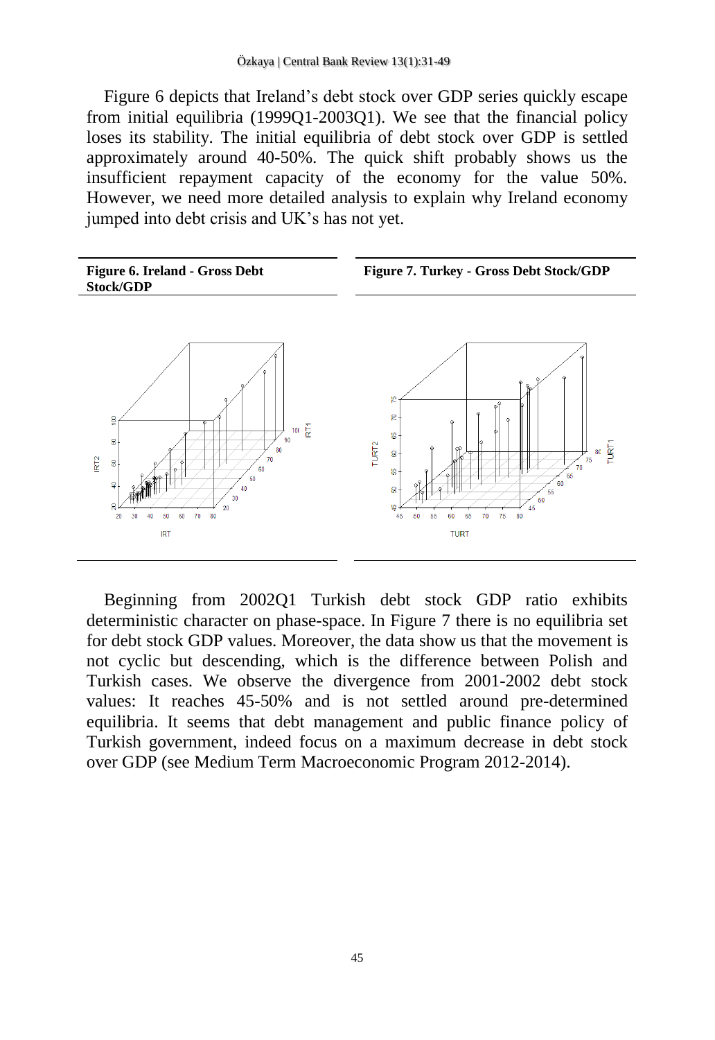Figure 6 depicts that Ireland's debt stock over GDP series quickly escape from initial equilibria (1999Q1-2003Q1). We see that the financial policy loses its stability. The initial equilibria of debt stock over GDP is settled approximately around 40-50%. The quick shift probably shows us the insufficient repayment capacity of the economy for the value 50%. However, we need more detailed analysis to explain why Ireland economy jumped into debt crisis and UK's has not yet.



Beginning from 2002Q1 Turkish debt stock GDP ratio exhibits deterministic character on phase-space. In Figure 7 there is no equilibria set for debt stock GDP values. Moreover, the data show us that the movement is not cyclic but descending, which is the difference between Polish and Turkish cases. We observe the divergence from 2001-2002 debt stock values: It reaches 45-50% and is not settled around pre-determined equilibria. It seems that debt management and public finance policy of Turkish government, indeed focus on a maximum decrease in debt stock over GDP (see Medium Term Macroeconomic Program 2012-2014).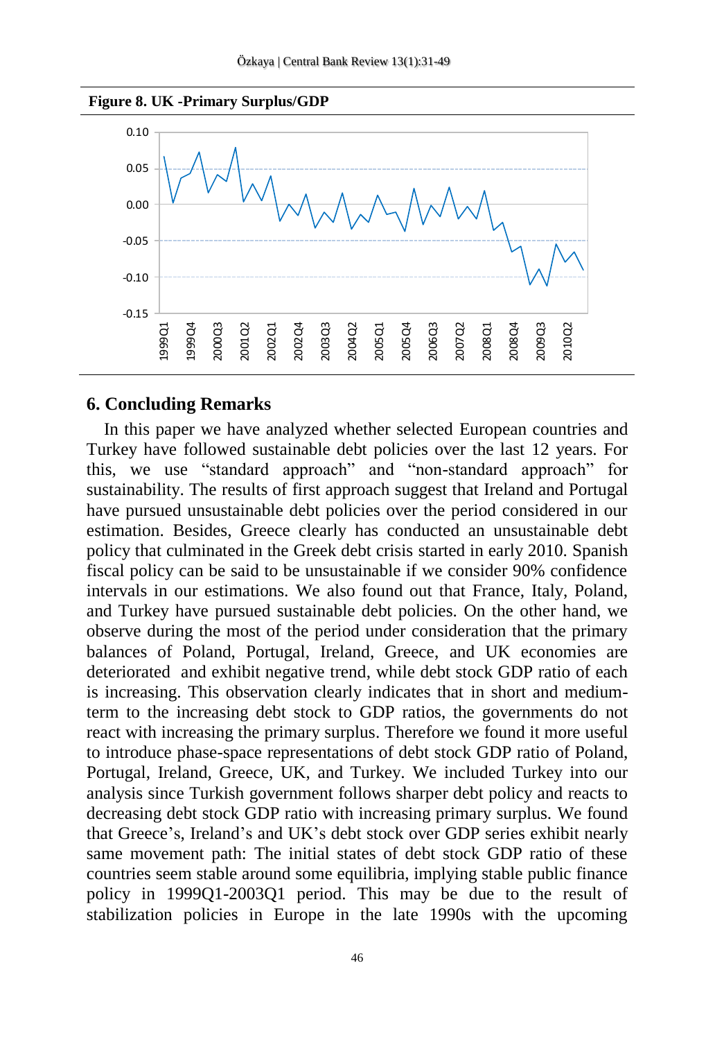



#### **6. Concluding Remarks**

In this paper we have analyzed whether selected European countries and Turkey have followed sustainable debt policies over the last 12 years. For this, we use "standard approach" and "non-standard approach" for sustainability. The results of first approach suggest that Ireland and Portugal have pursued unsustainable debt policies over the period considered in our estimation. Besides, Greece clearly has conducted an unsustainable debt policy that culminated in the Greek debt crisis started in early 2010. Spanish fiscal policy can be said to be unsustainable if we consider 90% confidence intervals in our estimations. We also found out that France, Italy, Poland, and Turkey have pursued sustainable debt policies. On the other hand, we observe during the most of the period under consideration that the primary balances of Poland, Portugal, Ireland, Greece, and UK economies are deteriorated and exhibit negative trend, while debt stock GDP ratio of each is increasing. This observation clearly indicates that in short and mediumterm to the increasing debt stock to GDP ratios, the governments do not react with increasing the primary surplus. Therefore we found it more useful to introduce phase-space representations of debt stock GDP ratio of Poland, Portugal, Ireland, Greece, UK, and Turkey. We included Turkey into our analysis since Turkish government follows sharper debt policy and reacts to decreasing debt stock GDP ratio with increasing primary surplus. We found that Greece's, Ireland's and UK's debt stock over GDP series exhibit nearly same movement path: The initial states of debt stock GDP ratio of these countries seem stable around some equilibria, implying stable public finance policy in 1999Q1-2003Q1 period. This may be due to the result of stabilization policies in Europe in the late 1990s with the upcoming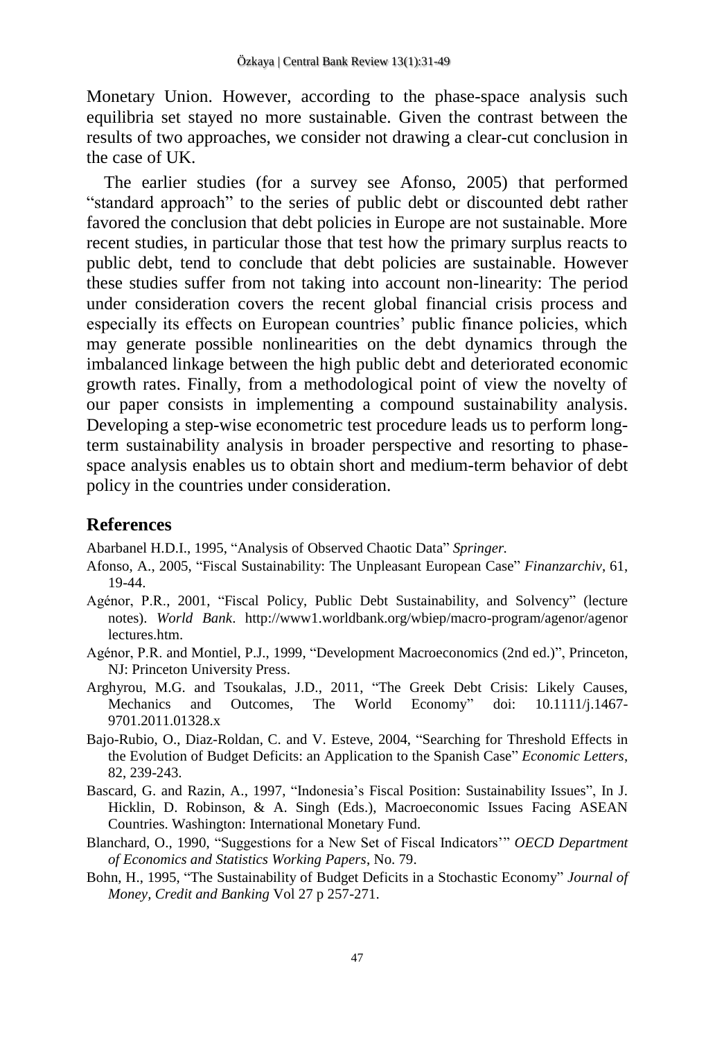Monetary Union. However, according to the phase-space analysis such equilibria set stayed no more sustainable. Given the contrast between the results of two approaches, we consider not drawing a clear-cut conclusion in the case of UK.

The earlier studies (for a survey see Afonso, 2005) that performed "standard approach" to the series of public debt or discounted debt rather favored the conclusion that debt policies in Europe are not sustainable. More recent studies, in particular those that test how the primary surplus reacts to public debt, tend to conclude that debt policies are sustainable. However these studies suffer from not taking into account non-linearity: The period under consideration covers the recent global financial crisis process and especially its effects on European countries' public finance policies, which may generate possible nonlinearities on the debt dynamics through the imbalanced linkage between the high public debt and deteriorated economic growth rates. Finally, from a methodological point of view the novelty of our paper consists in implementing a compound sustainability analysis. Developing a step-wise econometric test procedure leads us to perform longterm sustainability analysis in broader perspective and resorting to phasespace analysis enables us to obtain short and medium-term behavior of debt policy in the countries under consideration.

#### **References**

Abarbanel H.D.I., 1995, "Analysis of Observed Chaotic Data" *Springer.*

- Afonso, A., 2005, "Fiscal Sustainability: The Unpleasant European Case" *Finanzarchiv*, 61, 19-44.
- Agénor, P.R., 2001, "Fiscal Policy, Public Debt Sustainability, and Solvency" (lecture notes). *World Bank*. http://www1.worldbank.org/wbiep/macro-program/agenor/agenor lectures.htm.
- Agénor, P.R. and Montiel, P.J., 1999, "Development Macroeconomics (2nd ed.)", Princeton, NJ: Princeton University Press.
- Arghyrou, M.G. and Tsoukalas, J.D., 2011, "The Greek Debt Crisis: Likely Causes, Mechanics and Outcomes, The World Economy" doi: 10.1111/j.1467- 9701.2011.01328.x
- Bajo-Rubio, O., Diaz-Roldan, C. and V. Esteve, 2004, "Searching for Threshold Effects in the Evolution of Budget Deficits: an Application to the Spanish Case" *Economic Letters*, 82, 239-243.
- Bascard, G. and Razin, A., 1997, "Indonesia's Fiscal Position: Sustainability Issues", In J. Hicklin, D. Robinson, & A. Singh (Eds.), Macroeconomic Issues Facing ASEAN Countries. Washington: International Monetary Fund.
- Blanchard, O., 1990, "Suggestions for a New Set of Fiscal Indicators'" *OECD Department of Economics and Statistics Working Papers*, No. 79.
- Bohn, H., 1995, "The Sustainability of Budget Deficits in a Stochastic Economy" *Journal of Money, Credit and Banking* Vol 27 p 257-271.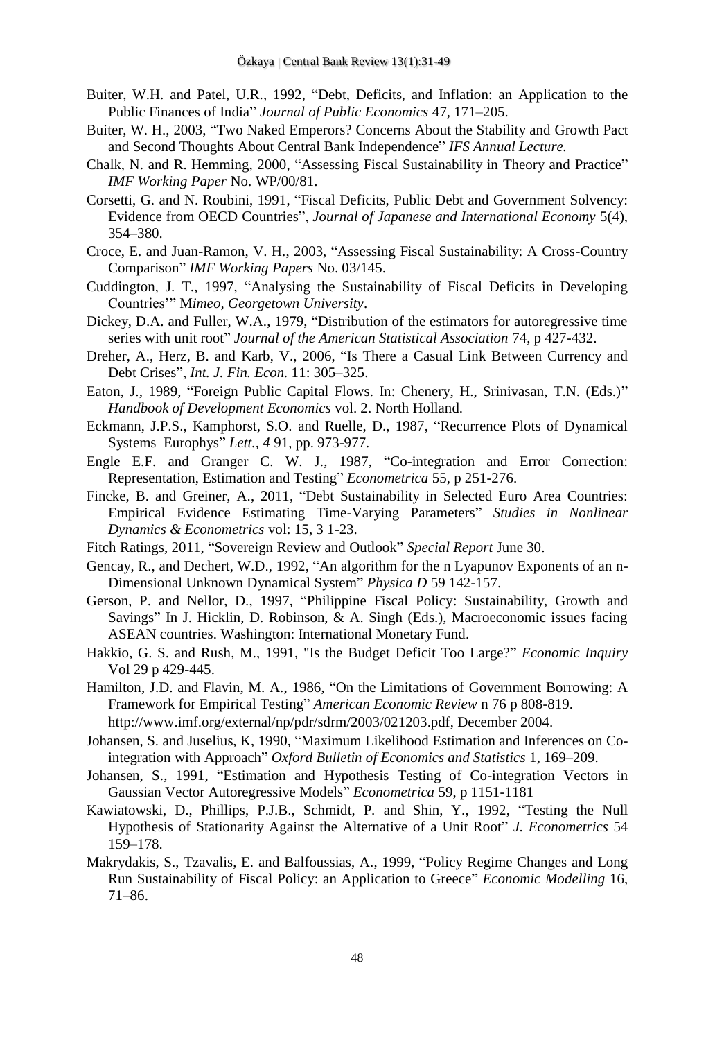- Buiter, W.H. and Patel, U.R., 1992, "Debt, Deficits, and Inflation: an Application to the Public Finances of India" *Journal of Public Economics* 47, 171–205.
- Buiter, W. H., 2003, "Two Naked Emperors? Concerns About the Stability and Growth Pact and Second Thoughts About Central Bank Independence" *IFS Annual Lecture.*
- Chalk, N. and R. Hemming, 2000, "Assessing Fiscal Sustainability in Theory and Practice" *IMF Working Paper* No. WP/00/81.
- Corsetti, G. and N. Roubini, 1991, "Fiscal Deficits, Public Debt and Government Solvency: Evidence from OECD Countries", *Journal of Japanese and International Economy* 5(4), 354–380.
- Croce, E. and Juan-Ramon, V. H., 2003, "Assessing Fiscal Sustainability: A Cross-Country Comparison" *IMF Working Papers* No. 03/145.
- Cuddington, J. T., 1997, "Analysing the Sustainability of Fiscal Deficits in Developing Countries'" M*imeo, Georgetown University*.
- Dickey, D.A. and Fuller, W.A., 1979, "Distribution of the estimators for autoregressive time series with unit root" *Journal of the American Statistical Association* 74, p 427-432.
- Dreher, A., Herz, B. and Karb, V., 2006, "Is There a Casual Link Between Currency and Debt Crises", *Int. J. Fin. Econ.* 11: 305–325.
- Eaton, J., 1989, "Foreign Public Capital Flows. In: Chenery, H., Srinivasan, T.N. (Eds.)" *Handbook of Development Economics* vol. 2. North Holland.
- Eckmann, J.P.S., Kamphorst, S.O. and Ruelle, D., 1987, "Recurrence Plots of Dynamical Systems Europhys" *Lett., 4* 91, pp. 973-977.
- Engle E.F. and Granger C. W. J., 1987, "Co-integration and Error Correction: Representation, Estimation and Testing" *Econometrica* 55, p 251-276.
- Fincke, B. and Greiner, A., 2011, "Debt Sustainability in Selected Euro Area Countries: Empirical Evidence Estimating Time-Varying Parameters" *Studies in Nonlinear Dynamics & Econometrics* vol: 15, 3 1-23.
- Fitch Ratings, 2011, "Sovereign Review and Outlook" *Special Report* June 30.
- Gencay, R., and Dechert, W.D., 1992, "An algorithm for the n Lyapunov Exponents of an n-Dimensional Unknown Dynamical System" *Physica D* 59 142-157.
- Gerson, P. and Nellor, D., 1997, "Philippine Fiscal Policy: Sustainability, Growth and Savings" In J. Hicklin, D. Robinson,  $\&$  A. Singh (Eds.), Macroeconomic issues facing ASEAN countries. Washington: International Monetary Fund.
- Hakkio, G. S. and Rush, M., 1991, "Is the Budget Deficit Too Large?" *Economic Inquiry* Vol 29 p 429-445.
- Hamilton, J.D. and Flavin, M. A., 1986, "On the Limitations of Government Borrowing: A Framework for Empirical Testing" *American Economic Review* n 76 p 808-819. http://www.imf.org/external/np/pdr/sdrm/2003/021203.pdf, December 2004.
- Johansen, S. and Juselius, K, 1990, "Maximum Likelihood Estimation and Inferences on Cointegration with Approach" *Oxford Bulletin of Economics and Statistics* 1, 169–209.
- Johansen, S., 1991, "Estimation and Hypothesis Testing of Co-integration Vectors in Gaussian Vector Autoregressive Models" *Econometrica* 59, p 1151-1181
- Kawiatowski, D., Phillips, P.J.B., Schmidt, P. and Shin, Y., 1992, "Testing the Null Hypothesis of Stationarity Against the Alternative of a Unit Root" *J. Econometrics* 54 159–178.
- Makrydakis, S., Tzavalis, E. and Balfoussias, A., 1999, "Policy Regime Changes and Long Run Sustainability of Fiscal Policy: an Application to Greece" *Economic Modelling* 16, 71–86.